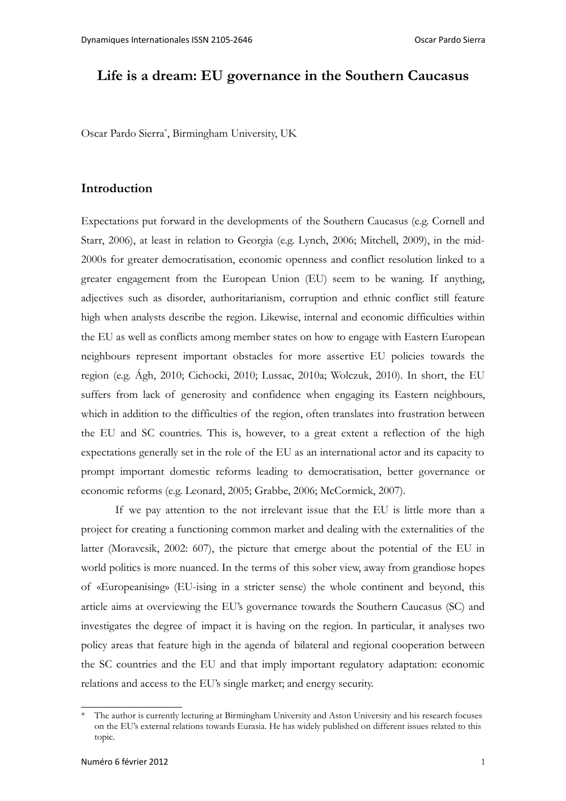## **Life is a dream: EU governance in the Southern Caucasus**

Oscar Pardo Sierra[\\*](#page-0-0) , Birmingham University, UK

#### **Introduction**

Expectations put forward in the developments of the Southern Caucasus (e.g. Cornell and Starr, 2006), at least in relation to Georgia (e.g. Lynch, 2006; Mitchell, 2009), in the mid-2000s for greater democratisation, economic openness and conflict resolution linked to a greater engagement from the European Union (EU) seem to be waning. If anything, adjectives such as disorder, authoritarianism, corruption and ethnic conflict still feature high when analysts describe the region. Likewise, internal and economic difficulties within the EU as well as conflicts among member states on how to engage with Eastern European neighbours represent important obstacles for more assertive EU policies towards the region (e.g. Ágh, 2010; Cichocki, 2010; Lussac, 2010a; Wolczuk, 2010). In short, the EU suffers from lack of generosity and confidence when engaging its Eastern neighbours, which in addition to the difficulties of the region, often translates into frustration between the EU and SC countries. This is, however, to a great extent a reflection of the high expectations generally set in the role of the EU as an international actor and its capacity to prompt important domestic reforms leading to democratisation, better governance or economic reforms (e.g. Leonard, 2005; Grabbe, 2006; McCormick, 2007).

If we pay attention to the not irrelevant issue that the EU is little more than a project for creating a functioning common market and dealing with the externalities of the latter (Moravcsik, 2002: 607), the picture that emerge about the potential of the EU in world politics is more nuanced. In the terms of this sober view, away from grandiose hopes of «Europeanising» (EU-ising in a stricter sense) the whole continent and beyond, this article aims at overviewing the EU's governance towards the Southern Caucasus (SC) and investigates the degree of impact it is having on the region. In particular, it analyses two policy areas that feature high in the agenda of bilateral and regional cooperation between the SC countries and the EU and that imply important regulatory adaptation: economic relations and access to the EU's single market; and energy security.

<span id="page-0-0"></span><sup>\*</sup> The author is currently lecturing at Birmingham University and Aston University and his research focuses on the EU's external relations towards Eurasia. He has widely published on different issues related to this topic.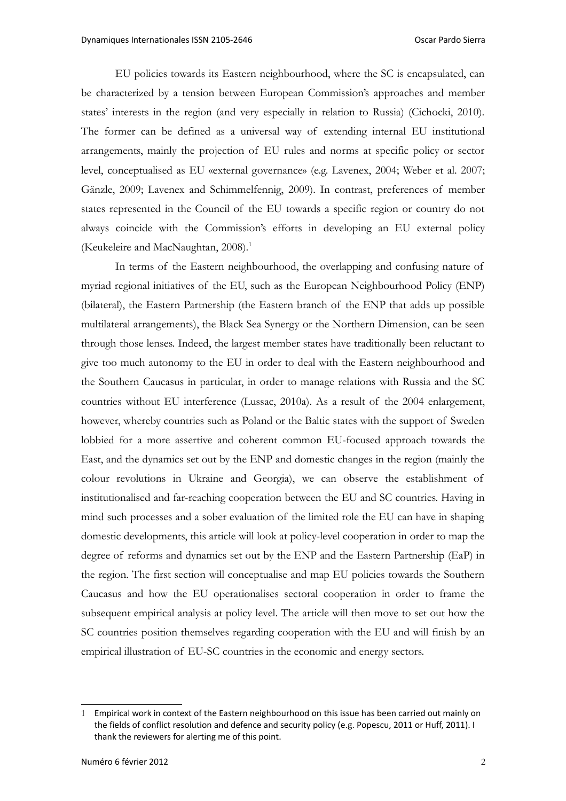EU policies towards its Eastern neighbourhood, where the SC is encapsulated, can be characterized by a tension between European Commission's approaches and member states' interests in the region (and very especially in relation to Russia) (Cichocki, 2010). The former can be defined as a universal way of extending internal EU institutional arrangements, mainly the projection of EU rules and norms at specific policy or sector level, conceptualised as EU «external governance» (e.g. Lavenex, 2004; Weber et al. 2007; Gänzle, 2009; Lavenex and Schimmelfennig, 2009). In contrast, preferences of member states represented in the Council of the EU towards a specific region or country do not always coincide with the Commission's efforts in developing an EU external policy (Keukeleire and MacNaughtan, 2008).<sup>[1](#page-1-0)</sup>

In terms of the Eastern neighbourhood, the overlapping and confusing nature of myriad regional initiatives of the EU, such as the European Neighbourhood Policy (ENP) (bilateral), the Eastern Partnership (the Eastern branch of the ENP that adds up possible multilateral arrangements), the Black Sea Synergy or the Northern Dimension, can be seen through those lenses. Indeed, the largest member states have traditionally been reluctant to give too much autonomy to the EU in order to deal with the Eastern neighbourhood and the Southern Caucasus in particular, in order to manage relations with Russia and the SC countries without EU interference (Lussac, 2010a). As a result of the 2004 enlargement, however, whereby countries such as Poland or the Baltic states with the support of Sweden lobbied for a more assertive and coherent common EU-focused approach towards the East, and the dynamics set out by the ENP and domestic changes in the region (mainly the colour revolutions in Ukraine and Georgia), we can observe the establishment of institutionalised and far-reaching cooperation between the EU and SC countries. Having in mind such processes and a sober evaluation of the limited role the EU can have in shaping domestic developments, this article will look at policy-level cooperation in order to map the degree of reforms and dynamics set out by the ENP and the Eastern Partnership (EaP) in the region. The first section will conceptualise and map EU policies towards the Southern Caucasus and how the EU operationalises sectoral cooperation in order to frame the subsequent empirical analysis at policy level. The article will then move to set out how the SC countries position themselves regarding cooperation with the EU and will finish by an empirical illustration of EU-SC countries in the economic and energy sectors.

<span id="page-1-0"></span><sup>1</sup> Empirical work in context of the Eastern neighbourhood on this issue has been carried out mainly on the fields of conflict resolution and defence and security policy (e.g. Popescu, 2011 or Huff, 2011). I thank the reviewers for alerting me of this point.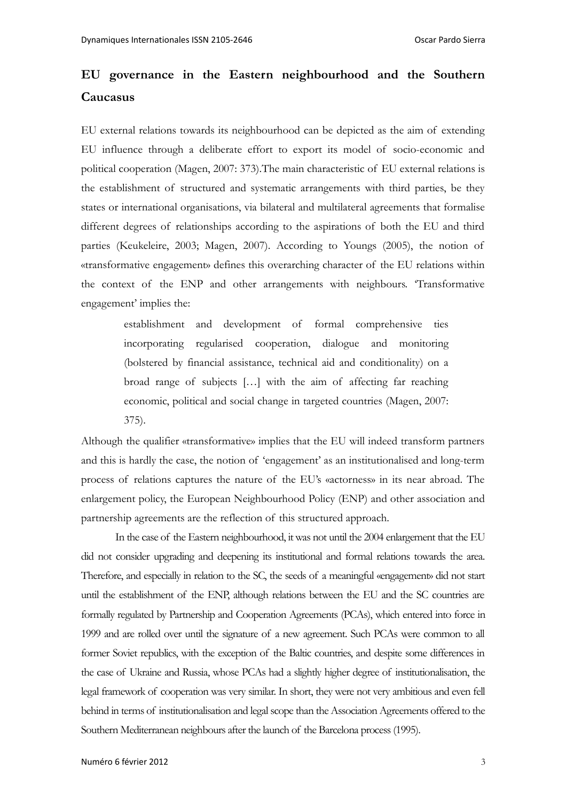# **EU governance in the Eastern neighbourhood and the Southern Caucasus**

EU external relations towards its neighbourhood can be depicted as the aim of extending EU influence through a deliberate effort to export its model of socio-economic and political cooperation (Magen, 2007: 373).The main characteristic of EU external relations is the establishment of structured and systematic arrangements with third parties, be they states or international organisations, via bilateral and multilateral agreements that formalise different degrees of relationships according to the aspirations of both the EU and third parties (Keukeleire, 2003; Magen, 2007). According to Youngs (2005), the notion of «transformative engagement» defines this overarching character of the EU relations within the context of the ENP and other arrangements with neighbours. 'Transformative engagement' implies the:

> establishment and development of formal comprehensive ties incorporating regularised cooperation, dialogue and monitoring (bolstered by financial assistance, technical aid and conditionality) on a broad range of subjects […] with the aim of affecting far reaching economic, political and social change in targeted countries (Magen, 2007: 375).

Although the qualifier «transformative» implies that the EU will indeed transform partners and this is hardly the case, the notion of 'engagement' as an institutionalised and long-term process of relations captures the nature of the EU's «actorness» in its near abroad. The enlargement policy, the European Neighbourhood Policy (ENP) and other association and partnership agreements are the reflection of this structured approach.

In the case of the Eastern neighbourhood, it was not until the 2004 enlargement that the EU did not consider upgrading and deepening its institutional and formal relations towards the area. Therefore, and especially in relation to the SC, the seeds of a meaningful «engagement» did not start until the establishment of the ENP, although relations between the EU and the SC countries are formally regulated by Partnership and Cooperation Agreements (PCAs), which entered into force in 1999 and are rolled over until the signature of a new agreement. Such PCAs were common to all former Soviet republics, with the exception of the Baltic countries, and despite some differences in the case of Ukraine and Russia, whose PCAs had a slightly higher degree of institutionalisation, the legal framework of cooperation was very similar. In short, they were not very ambitious and even fell behind in terms of institutionalisation and legal scope than the Association Agreements offered to the Southern Mediterranean neighbours after the launch of the Barcelona process (1995).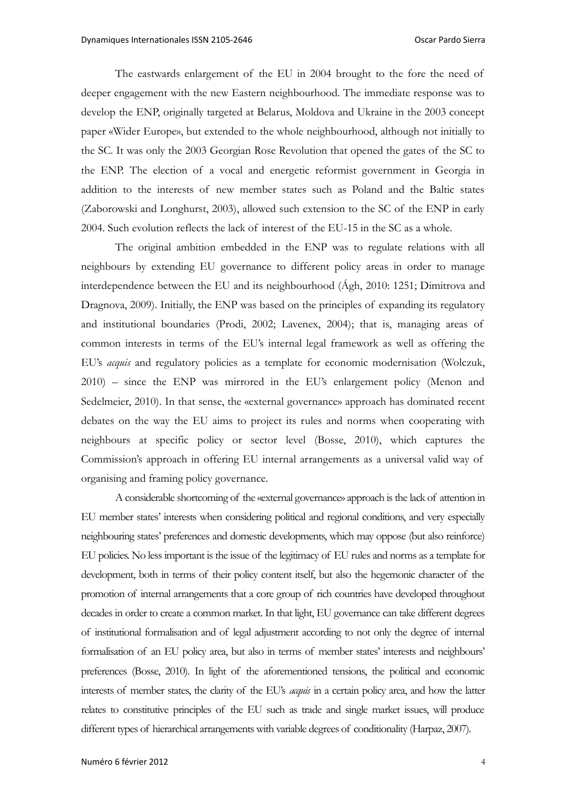The eastwards enlargement of the EU in 2004 brought to the fore the need of deeper engagement with the new Eastern neighbourhood. The immediate response was to develop the ENP, originally targeted at Belarus, Moldova and Ukraine in the 2003 concept paper «Wider Europe», but extended to the whole neighbourhood, although not initially to the SC. It was only the 2003 Georgian Rose Revolution that opened the gates of the SC to the ENP. The election of a vocal and energetic reformist government in Georgia in addition to the interests of new member states such as Poland and the Baltic states (Zaborowski and Longhurst, 2003), allowed such extension to the SC of the ENP in early 2004. Such evolution reflects the lack of interest of the EU-15 in the SC as a whole.

The original ambition embedded in the ENP was to regulate relations with all neighbours by extending EU governance to different policy areas in order to manage interdependence between the EU and its neighbourhood (Ágh, 2010: 1251; Dimitrova and Dragnova, 2009). Initially, the ENP was based on the principles of expanding its regulatory and institutional boundaries (Prodi, 2002; Lavenex, 2004); that is, managing areas of common interests in terms of the EU's internal legal framework as well as offering the EU's *acquis* and regulatory policies as a template for economic modernisation (Wolczuk, 2010) – since the ENP was mirrored in the EU's enlargement policy (Menon and Sedelmeier, 2010). In that sense, the «external governance» approach has dominated recent debates on the way the EU aims to project its rules and norms when cooperating with neighbours at specific policy or sector level (Bosse, 2010), which captures the Commission's approach in offering EU internal arrangements as a universal valid way of organising and framing policy governance.

A considerable shortcoming of the «external governance» approach is the lack of attention in EU member states' interests when considering political and regional conditions, and very especially neighbouring states' preferences and domestic developments, which may oppose (but also reinforce) EU policies. No less important is the issue of the legitimacy of EU rules and norms as a template for development, both in terms of their policy content itself, but also the hegemonic character of the promotion of internal arrangements that a core group of rich countries have developed throughout decades in order to create a common market. In that light, EU governance can take different degrees of institutional formalisation and of legal adjustment according to not only the degree of internal formalisation of an EU policy area, but also in terms of member states' interests and neighbours' preferences (Bosse, 2010). In light of the aforementioned tensions, the political and economic interests of member states, the clarity of the EU's *acquis* in a certain policy area, and how the latter relates to constitutive principles of the EU such as trade and single market issues, will produce different types of hierarchical arrangements with variable degrees of conditionality (Harpaz, 2007).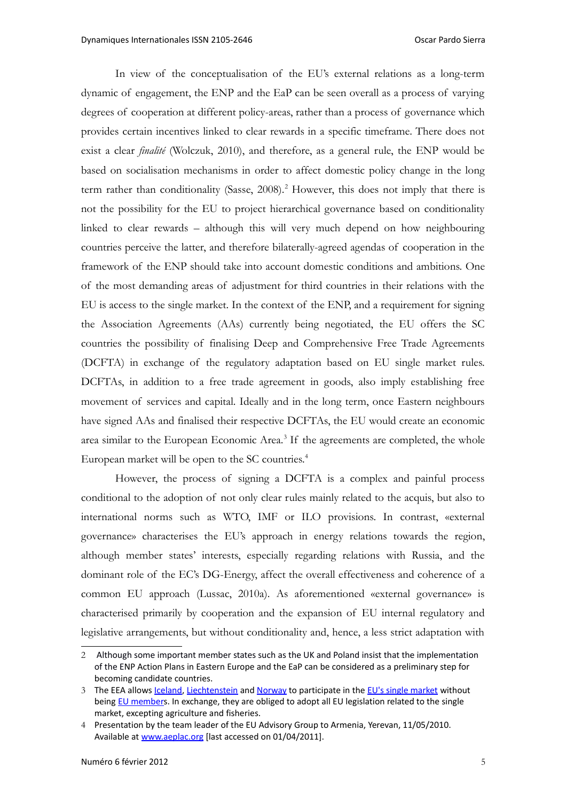In view of the conceptualisation of the EU's external relations as a long-term dynamic of engagement, the ENP and the EaP can be seen overall as a process of varying degrees of cooperation at different policy-areas, rather than a process of governance which provides certain incentives linked to clear rewards in a specific timeframe. There does not exist a clear *finalité* (Wolczuk, 2010), and therefore, as a general rule, the ENP would be based on socialisation mechanisms in order to affect domestic policy change in the long term rather than conditionality (Sasse, [2](#page-4-0)008).<sup>2</sup> However, this does not imply that there is not the possibility for the EU to project hierarchical governance based on conditionality linked to clear rewards – although this will very much depend on how neighbouring countries perceive the latter, and therefore bilaterally-agreed agendas of cooperation in the framework of the ENP should take into account domestic conditions and ambitions. One of the most demanding areas of adjustment for third countries in their relations with the EU is access to the single market. In the context of the ENP, and a requirement for signing the Association Agreements (AAs) currently being negotiated, the EU offers the SC countries the possibility of finalising Deep and Comprehensive Free Trade Agreements (DCFTA) in exchange of the regulatory adaptation based on EU single market rules. DCFTAs, in addition to a free trade agreement in goods, also imply establishing free movement of services and capital. Ideally and in the long term, once Eastern neighbours have signed AAs and finalised their respective DCFTAs, the EU would create an economic area similar to the European Economic Area.<sup>[3](#page-4-1)</sup> If the agreements are completed, the whole European market will be open to the SC countries.<sup>[4](#page-4-2)</sup>

However, the process of signing a DCFTA is a complex and painful process conditional to the adoption of not only clear rules mainly related to the acquis, but also to international norms such as WTO, IMF or ILO provisions. In contrast, «external governance» characterises the EU's approach in energy relations towards the region, although member states' interests, especially regarding relations with Russia, and the dominant role of the EC's DG-Energy, affect the overall effectiveness and coherence of a common EU approach (Lussac, 2010a). As aforementioned «external governance» is characterised primarily by cooperation and the expansion of EU internal regulatory and legislative arrangements, but without conditionality and, hence, a less strict adaptation with

<span id="page-4-0"></span><sup>2</sup> Although some important member states such as the UK and Poland insist that the implementation of the ENP Action Plans in Eastern Europe and the EaP can be considered as a preliminary step for becoming candidate countries.

<span id="page-4-1"></span><sup>3</sup> The EEA allows [Iceland,](http://en.wikipedia.org/wiki/Iceland) [Liechtenstein](http://en.wikipedia.org/wiki/Liechtenstein) and [Norway](http://en.wikipedia.org/wiki/Norway) to participate in the [EU's single market](http://en.wikipedia.org/wiki/Single_market_of_the_European_Union) without being [EU members](http://en.wikipedia.org/wiki/Member_State_of_the_European_Union). In exchange, they are obliged to adopt all EU legislation related to the single market, excepting agriculture and fisheries.

<span id="page-4-2"></span><sup>4</sup> Presentation by the team leader of the EU Advisory Group to Armenia, Yerevan, 11/05/2010. Available at [www.aeplac.org](http://www.aeplac.org/) [last accessed on 01/04/2011].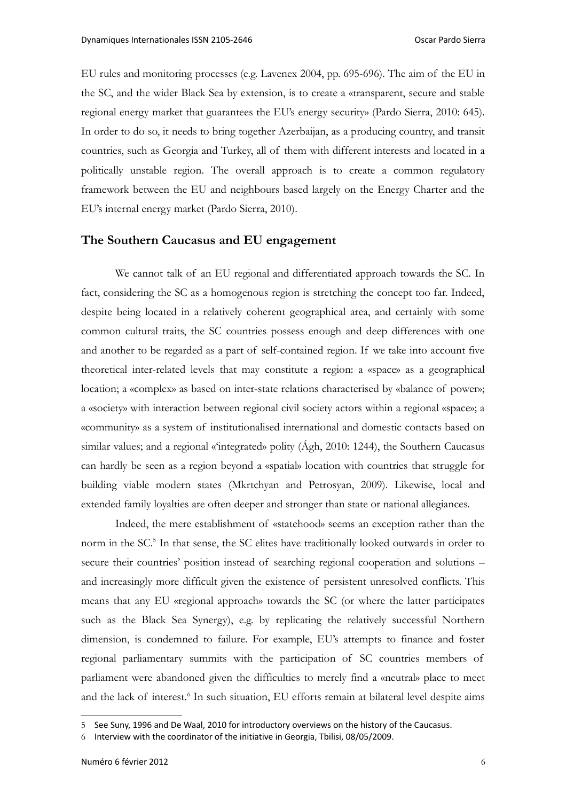EU rules and monitoring processes (e.g. Lavenex 2004, pp. 695-696). The aim of the EU in the SC, and the wider Black Sea by extension, is to create a «transparent, secure and stable regional energy market that guarantees the EU's energy security» (Pardo Sierra, 2010: 645). In order to do so, it needs to bring together Azerbaijan, as a producing country, and transit countries, such as Georgia and Turkey, all of them with different interests and located in a politically unstable region. The overall approach is to create a common regulatory framework between the EU and neighbours based largely on the Energy Charter and the EU's internal energy market (Pardo Sierra, 2010).

#### **The Southern Caucasus and EU engagement**

We cannot talk of an EU regional and differentiated approach towards the SC. In fact, considering the SC as a homogenous region is stretching the concept too far. Indeed, despite being located in a relatively coherent geographical area, and certainly with some common cultural traits, the SC countries possess enough and deep differences with one and another to be regarded as a part of self-contained region. If we take into account five theoretical inter-related levels that may constitute a region: a «space» as a geographical location; a «complex» as based on inter-state relations characterised by «balance of power»; a «society» with interaction between regional civil society actors within a regional «space»; a «community» as a system of institutionalised international and domestic contacts based on similar values; and a regional «'integrated» polity (Ágh, 2010: 1244), the Southern Caucasus can hardly be seen as a region beyond a «spatial» location with countries that struggle for building viable modern states (Mkrtchyan and Petrosyan, 2009). Likewise, local and extended family loyalties are often deeper and stronger than state or national allegiances.

Indeed, the mere establishment of «statehood» seems an exception rather than the norm in the SC.<sup>[5](#page-5-0)</sup> In that sense, the SC elites have traditionally looked outwards in order to secure their countries' position instead of searching regional cooperation and solutions – and increasingly more difficult given the existence of persistent unresolved conflicts. This means that any EU «regional approach» towards the SC (or where the latter participates such as the Black Sea Synergy), e.g. by replicating the relatively successful Northern dimension, is condemned to failure. For example, EU's attempts to finance and foster regional parliamentary summits with the participation of SC countries members of parliament were abandoned given the difficulties to merely find a «neutral» place to meet and the lack of interest.<sup>[6](#page-5-1)</sup> In such situation, EU efforts remain at bilateral level despite aims

<span id="page-5-0"></span><sup>5</sup> See Suny, 1996 and De Waal, 2010 for introductory overviews on the history of the Caucasus.

<span id="page-5-1"></span><sup>6</sup> Interview with the coordinator of the initiative in Georgia, Tbilisi, 08/05/2009.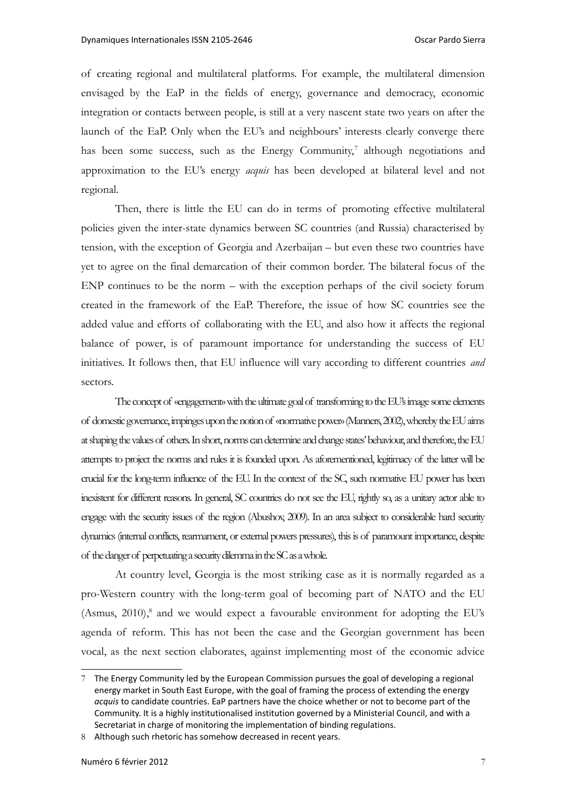of creating regional and multilateral platforms. For example, the multilateral dimension envisaged by the EaP in the fields of energy, governance and democracy, economic integration or contacts between people, is still at a very nascent state two years on after the launch of the EaP. Only when the EU's and neighbours' interests clearly converge there has been some success, such as the Energy Community,<sup>[7](#page-6-0)</sup> although negotiations and approximation to the EU's energy *acquis* has been developed at bilateral level and not regional.

Then, there is little the EU can do in terms of promoting effective multilateral policies given the inter-state dynamics between SC countries (and Russia) characterised by tension, with the exception of Georgia and Azerbaijan – but even these two countries have yet to agree on the final demarcation of their common border. The bilateral focus of the ENP continues to be the norm – with the exception perhaps of the civil society forum created in the framework of the EaP. Therefore, the issue of how SC countries see the added value and efforts of collaborating with the EU, and also how it affects the regional balance of power, is of paramount importance for understanding the success of EU initiatives. It follows then, that EU influence will vary according to different countries *and* sectors.

The concept of «engagement» with the ultimate goal of transforming to the EU's image some elements of domestic governance, impinges upon the notion of «normative power» (Manners, 2002), whereby the EU aims at shaping the values of others. In short, norms can determine and change states' behaviour, and therefore, the EU attempts to project the norms and rules it is founded upon. As aforementioned, legitimacy of the latter will be crucial for the long-term influence of the EU. In the context of the SC, such normative EU power has been inexistent for different reasons. In general, SC countries do not see the EU, rightly so, as a unitary actor able to engage with the security issues of the region (Abushov, 2009). In an area subject to considerable hard security dynamics (internal conflicts, rearmament, or external powers pressures), this is of paramount importance, despite of the danger of perpetuating a security dilemma in the SC as a whole.

At country level, Georgia is the most striking case as it is normally regarded as a pro-Western country with the long-term goal of becoming part of NATO and the EU (Asmus,  $2010$ ),<sup>[8](#page-6-1)</sup> and we would expect a favourable environment for adopting the EU's agenda of reform. This has not been the case and the Georgian government has been vocal, as the next section elaborates, against implementing most of the economic advice

<span id="page-6-0"></span><sup>7</sup> The Energy Community led by the European Commission pursues the goal of developing a regional energy market in South East Europe, with the goal of framing the process of extending the energy *acquis* to candidate countries. EaP partners have the choice whether or not to become part of the Community. It is a highly institutionalised institution governed by a Ministerial Council, and with a Secretariat in charge of monitoring the implementation of binding regulations.

<span id="page-6-1"></span><sup>8</sup> Although such rhetoric has somehow decreased in recent years.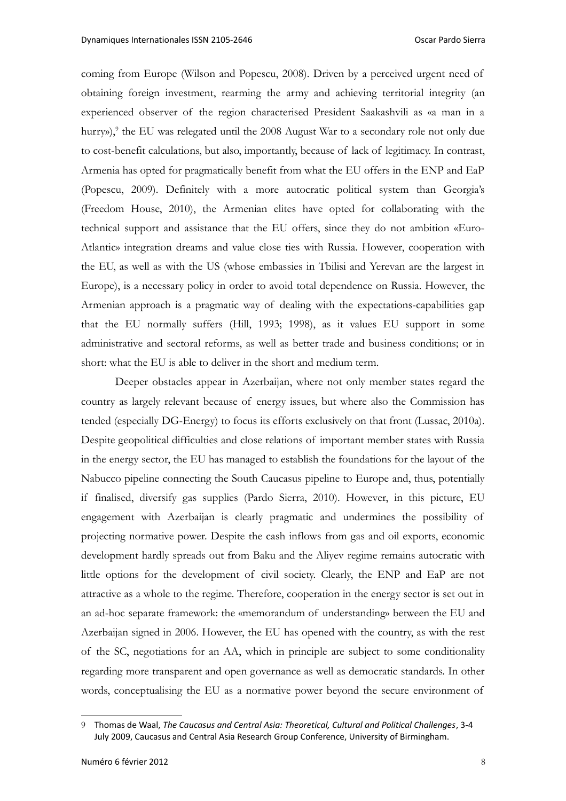coming from Europe (Wilson and Popescu, 2008). Driven by a perceived urgent need of obtaining foreign investment, rearming the army and achieving territorial integrity (an experienced observer of the region characterised President Saakashvili as «a man in a hurry»), $^9$  $^9$  the EU was relegated until the 2008 August War to a secondary role not only due to cost-benefit calculations, but also, importantly, because of lack of legitimacy. In contrast, Armenia has opted for pragmatically benefit from what the EU offers in the ENP and EaP (Popescu, 2009). Definitely with a more autocratic political system than Georgia's (Freedom House, 2010), the Armenian elites have opted for collaborating with the technical support and assistance that the EU offers, since they do not ambition «Euro-Atlantic» integration dreams and value close ties with Russia. However, cooperation with the EU, as well as with the US (whose embassies in Tbilisi and Yerevan are the largest in Europe), is a necessary policy in order to avoid total dependence on Russia. However, the Armenian approach is a pragmatic way of dealing with the expectations-capabilities gap that the EU normally suffers (Hill, 1993; 1998), as it values EU support in some administrative and sectoral reforms, as well as better trade and business conditions; or in short: what the EU is able to deliver in the short and medium term.

Deeper obstacles appear in Azerbaijan, where not only member states regard the country as largely relevant because of energy issues, but where also the Commission has tended (especially DG-Energy) to focus its efforts exclusively on that front (Lussac, 2010a). Despite geopolitical difficulties and close relations of important member states with Russia in the energy sector, the EU has managed to establish the foundations for the layout of the Nabucco pipeline connecting the South Caucasus pipeline to Europe and, thus, potentially if finalised, diversify gas supplies (Pardo Sierra, 2010). However, in this picture, EU engagement with Azerbaijan is clearly pragmatic and undermines the possibility of projecting normative power. Despite the cash inflows from gas and oil exports, economic development hardly spreads out from Baku and the Aliyev regime remains autocratic with little options for the development of civil society. Clearly, the ENP and EaP are not attractive as a whole to the regime. Therefore, cooperation in the energy sector is set out in an ad-hoc separate framework: the «memorandum of understanding» between the EU and Azerbaijan signed in 2006. However, the EU has opened with the country, as with the rest of the SC, negotiations for an AA, which in principle are subject to some conditionality regarding more transparent and open governance as well as democratic standards. In other words, conceptualising the EU as a normative power beyond the secure environment of

<span id="page-7-0"></span><sup>9</sup> Thomas de Waal, *The Caucasus and Central Asia: Theoretical, Cultural and Political Challenges*, 3-4 July 2009, Caucasus and Central Asia Research Group Conference, University of Birmingham.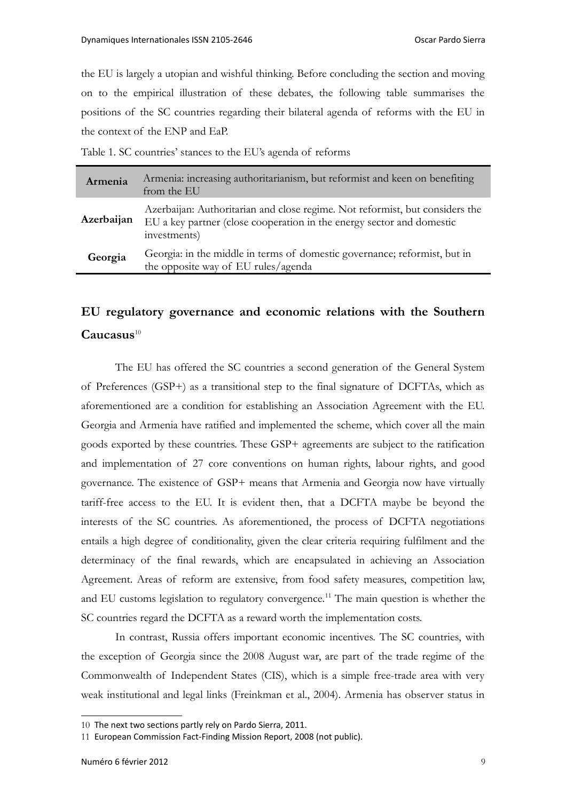the EU is largely a utopian and wishful thinking. Before concluding the section and moving on to the empirical illustration of these debates, the following table summarises the positions of the SC countries regarding their bilateral agenda of reforms with the EU in the context of the ENP and EaP.

Table 1. SC countries' stances to the EU's agenda of reforms

| Armenia    | Armenia: increasing authoritarianism, but reformist and keen on benefiting<br>from the EU                                                                             |
|------------|-----------------------------------------------------------------------------------------------------------------------------------------------------------------------|
| Azerbaijan | Azerbaijan: Authoritarian and close regime. Not reformist, but considers the<br>EU a key partner (close cooperation in the energy sector and domestic<br>investments) |
| Georgia    | Georgia: in the middle in terms of domestic governance; reformist, but in<br>the opposite way of EU rules/agenda                                                      |

# **EU regulatory governance and economic relations with the Southern Caucasus**[10](#page-8-0)

The EU has offered the SC countries a second generation of the General System of Preferences (GSP+) as a transitional step to the final signature of DCFTAs, which as aforementioned are a condition for establishing an Association Agreement with the EU. Georgia and Armenia have ratified and implemented the scheme, which cover all the main goods exported by these countries. These GSP+ agreements are subject to the ratification and implementation of 27 core conventions on human rights, labour rights, and good governance. The existence of GSP+ means that Armenia and Georgia now have virtually tariff-free access to the EU. It is evident then, that a DCFTA maybe be beyond the interests of the SC countries. As aforementioned, the process of DCFTA negotiations entails a high degree of conditionality, given the clear criteria requiring fulfilment and the determinacy of the final rewards, which are encapsulated in achieving an Association Agreement. Areas of reform are extensive, from food safety measures, competition law, and EU customs legislation to regulatory convergence.<sup>[11](#page-8-1)</sup> The main question is whether the SC countries regard the DCFTA as a reward worth the implementation costs.

In contrast, Russia offers important economic incentives. The SC countries, with the exception of Georgia since the 2008 August war, are part of the trade regime of the Commonwealth of Independent States (CIS), which is a simple free-trade area with very weak institutional and legal links (Freinkman et al., 2004). Armenia has observer status in

<span id="page-8-0"></span><sup>10</sup> The next two sections partly rely on Pardo Sierra, 2011.

<span id="page-8-1"></span><sup>11</sup> European Commission Fact-Finding Mission Report, 2008 (not public).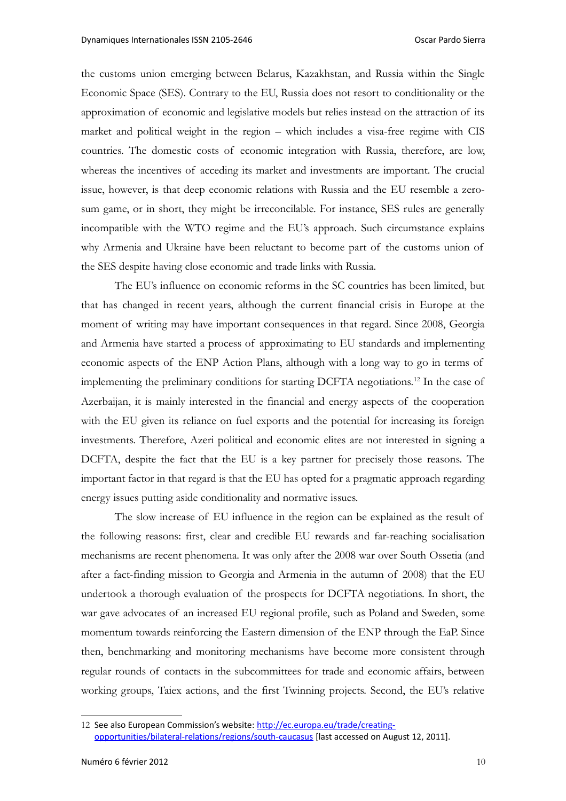the customs union emerging between Belarus, Kazakhstan, and Russia within the Single Economic Space (SES). Contrary to the EU, Russia does not resort to conditionality or the approximation of economic and legislative models but relies instead on the attraction of its market and political weight in the region – which includes a visa-free regime with CIS countries. The domestic costs of economic integration with Russia, therefore, are low, whereas the incentives of acceding its market and investments are important. The crucial issue, however, is that deep economic relations with Russia and the EU resemble a zerosum game, or in short, they might be irreconcilable. For instance, SES rules are generally incompatible with the WTO regime and the EU's approach. Such circumstance explains why Armenia and Ukraine have been reluctant to become part of the customs union of the SES despite having close economic and trade links with Russia.

The EU's influence on economic reforms in the SC countries has been limited, but that has changed in recent years, although the current financial crisis in Europe at the moment of writing may have important consequences in that regard. Since 2008, Georgia and Armenia have started a process of approximating to EU standards and implementing economic aspects of the ENP Action Plans, although with a long way to go in terms of implementing the preliminary conditions for starting DCFTA negotiations.<sup>[12](#page-9-0)</sup> In the case of Azerbaijan, it is mainly interested in the financial and energy aspects of the cooperation with the EU given its reliance on fuel exports and the potential for increasing its foreign investments. Therefore, Azeri political and economic elites are not interested in signing a DCFTA, despite the fact that the EU is a key partner for precisely those reasons. The important factor in that regard is that the EU has opted for a pragmatic approach regarding energy issues putting aside conditionality and normative issues.

The slow increase of EU influence in the region can be explained as the result of the following reasons: first, clear and credible EU rewards and far-reaching socialisation mechanisms are recent phenomena. It was only after the 2008 war over South Ossetia (and after a fact-finding mission to Georgia and Armenia in the autumn of 2008) that the EU undertook a thorough evaluation of the prospects for DCFTA negotiations. In short, the war gave advocates of an increased EU regional profile, such as Poland and Sweden, some momentum towards reinforcing the Eastern dimension of the ENP through the EaP. Since then, benchmarking and monitoring mechanisms have become more consistent through regular rounds of contacts in the subcommittees for trade and economic affairs, between working groups, Taiex actions, and the first Twinning projects. Second, the EU's relative

<span id="page-9-0"></span><sup>12</sup> See also European Commission's website: [http://ec.europa.eu/trade/creating](http://ec.europa.eu/trade/creating-opportunities/bilateral-relations/regions/south-caucasus)[opportunities/bilateral-relations/regions/south-caucasus](http://ec.europa.eu/trade/creating-opportunities/bilateral-relations/regions/south-caucasus) [last accessed on August 12, 2011].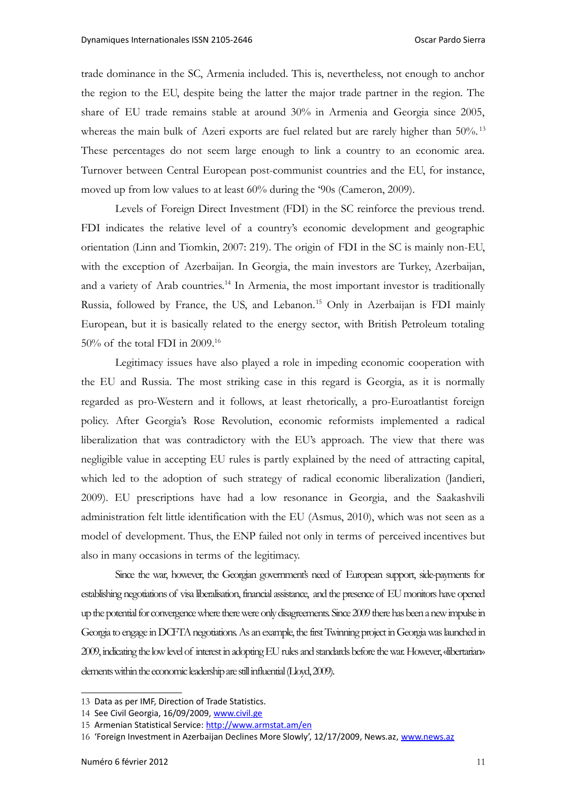trade dominance in the SC, Armenia included. This is, nevertheless, not enough to anchor the region to the EU, despite being the latter the major trade partner in the region. The share of EU trade remains stable at around 30% in Armenia and Georgia since 2005, whereas the main bulk of Azeri exports are fuel related but are rarely higher than 50%.<sup>[13](#page-10-0)</sup> These percentages do not seem large enough to link a country to an economic area. Turnover between Central European post-communist countries and the EU, for instance, moved up from low values to at least 60% during the '90s (Cameron, 2009).

Levels of Foreign Direct Investment (FDI) in the SC reinforce the previous trend. FDI indicates the relative level of a country's economic development and geographic orientation (Linn and Tiomkin, 2007: 219). The origin of FDI in the SC is mainly non-EU, with the exception of Azerbaijan. In Georgia, the main investors are Turkey, Azerbaijan, and a variety of Arab countries.<sup>[14](#page-10-1)</sup> In Armenia, the most important investor is traditionally Russia, followed by France, the US, and Lebanon.<sup>[15](#page-10-2)</sup> Only in Azerbaijan is FDI mainly European, but it is basically related to the energy sector, with British Petroleum totaling 50% of the total FDI in 2009.[16](#page-10-3)

Legitimacy issues have also played a role in impeding economic cooperation with the EU and Russia. The most striking case in this regard is Georgia, as it is normally regarded as pro-Western and it follows, at least rhetorically, a pro-Euroatlantist foreign policy. After Georgia's Rose Revolution, economic reformists implemented a radical liberalization that was contradictory with the EU's approach. The view that there was negligible value in accepting EU rules is partly explained by the need of attracting capital, which led to the adoption of such strategy of radical economic liberalization (Jandieri, 2009). EU prescriptions have had a low resonance in Georgia, and the Saakashvili administration felt little identification with the EU (Asmus, 2010), which was not seen as a model of development. Thus, the ENP failed not only in terms of perceived incentives but also in many occasions in terms of the legitimacy.

Since the war, however, the Georgian government's need of European support, side-payments for establishing negotiations of visa liberalisation, financial assistance, and the presence of EU monitors have opened up the potential for convergence where there were only disagreements. Since 2009 there has been a new impulse in Georgia to engage in DCFTA negotiations. As an example, the first Twinning project in Georgia was launched in 2009, indicating the low level of interest in adopting EU rules and standards before the war. However, «libertarian» elements within the economic leadership are still influential (Lloyd, 2009).

<span id="page-10-0"></span><sup>13</sup> Data as per IMF, Direction of Trade Statistics.

<span id="page-10-1"></span><sup>14</sup> See Civil Georgia, 16/09/2009, [www.civil.ge](http://www.civil.ge/)

<span id="page-10-2"></span><sup>15</sup> Armenian Statistical Service:<http://www.armstat.am/en>

<span id="page-10-3"></span><sup>16</sup> 'Foreign Investment in Azerbaijan Declines More Slowly', 12/17/2009, News.az, [www.news.az](http://www.news.az/)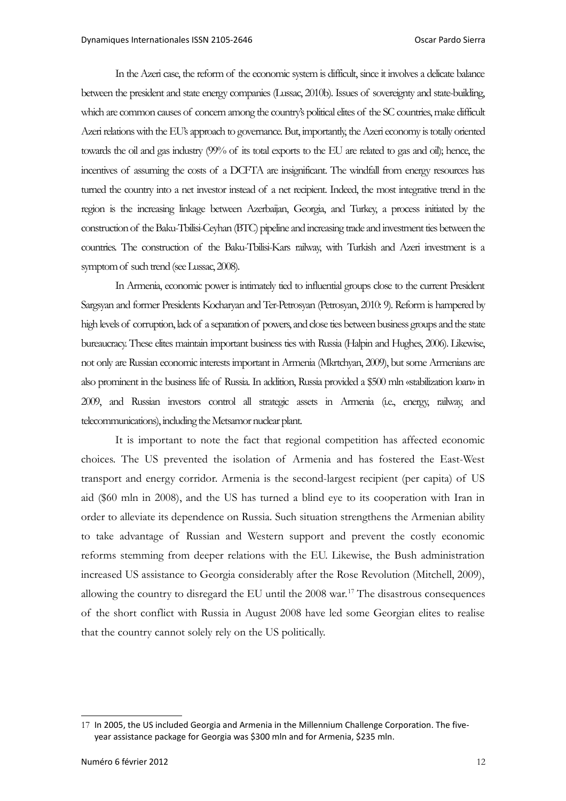In the Azeri case, the reform of the economic system is difficult, since it involves a delicate balance between the president and state energy companies (Lussac, 2010b). Issues of sovereignty and state-building, which are common causes of concern among the country's political elites of the SC countries, make difficult Azeri relations with the EU's approach to governance. But, importantly, the Azeri economy is totally oriented towards the oil and gas industry (99% of its total exports to the EU are related to gas and oil); hence, the incentives of assuming the costs of a DCFTA are insignificant. The windfall from energy resources has turned the country into a net investor instead of a net recipient. Indeed, the most integrative trend in the region is the increasing linkage between Azerbaijan, Georgia, and Turkey, a process initiated by the construction of the Baku-Tbilisi-Ceyhan (BTC) pipeline and increasing trade and investment ties between the countries. The construction of the Baku-Tbilisi-Kars railway, with Turkish and Azeri investment is a symptom of such trend (see Lussac, 2008).

In Armenia, economic power is intimately tied to influential groups close to the current President Sargsyan and former Presidents Kocharyan and Ter-Petrosyan (Petrosyan, 2010: 9). Reform is hampered by high levels of corruption, lack of a separation of powers, and close ties between business groups and the state bureaucracy. These elites maintain important business ties with Russia (Halpin and Hughes, 2006). Likewise, not only are Russian economic interests important in Armenia (Mkrtchyan, 2009), but some Armenians are also prominent in the business life of Russia. In addition, Russia provided a \$500 mln «stabilization loan» in 2009, and Russian investors control all strategic assets in Armenia (i.e., energy, railway, and telecommunications), including the Metsamor nuclear plant.

It is important to note the fact that regional competition has affected economic choices. The US prevented the isolation of Armenia and has fostered the East-West transport and energy corridor. Armenia is the second-largest recipient (per capita) of US aid (\$60 mln in 2008), and the US has turned a blind eye to its cooperation with Iran in order to alleviate its dependence on Russia. Such situation strengthens the Armenian ability to take advantage of Russian and Western support and prevent the costly economic reforms stemming from deeper relations with the EU. Likewise, the Bush administration increased US assistance to Georgia considerably after the Rose Revolution (Mitchell, 2009), allowing the country to disregard the EU until the 2008 war.<sup>[17](#page-11-0)</sup> The disastrous consequences of the short conflict with Russia in August 2008 have led some Georgian elites to realise that the country cannot solely rely on the US politically.

<span id="page-11-0"></span><sup>17</sup> In 2005, the US included Georgia and Armenia in the Millennium Challenge Corporation. The fiveyear assistance package for Georgia was \$300 mln and for Armenia, \$235 mln.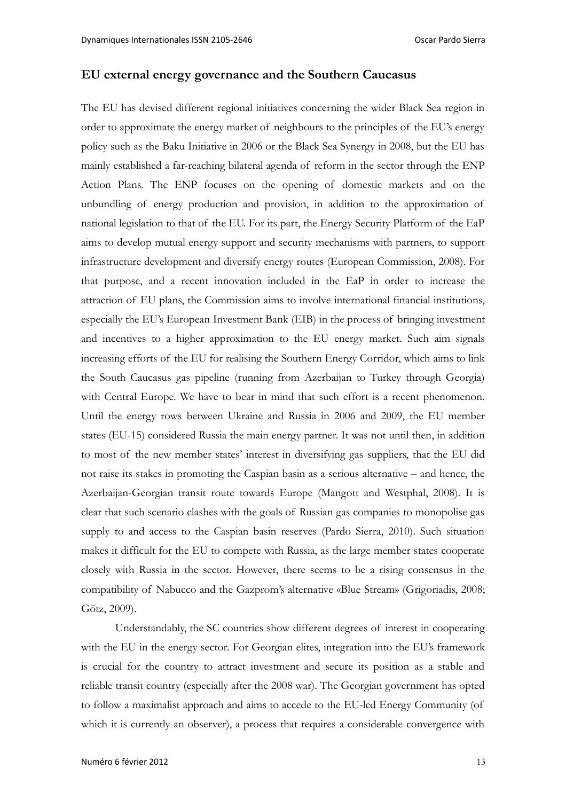## **EU external energy governance and the Southern Caucasus**

The EU has devised different regional initiatives concerning the wider Black Sea region in order to approximate the energy market of neighbours to the principles of the EU's energy policy such as the Baku Initiative in 2006 or the Black Sea Synergy in 2008, but the EU has mainly established a far-reaching bilateral agenda of reform in the sector through the ENP Action Plans. The ENP focuses on the opening of domestic markets and on the unbundling of energy production and provision, in addition to the approximation of national legislation to that of the EU. For its part, the Energy Security Platform of the EaP aims to develop mutual energy support and security mechanisms with partners, to support infrastructure development and diversify energy routes (European Commission, 2008). For that purpose, and a recent innovation included in the EaP in order to increase the attraction of EU plans, the Commission aims to involve international financial institutions, especially the EU's European Investment Bank (EIB) in the process of bringing investment and incentives to a higher approximation to the EU energy market. Such aim signals increasing efforts of the EU for realising the Southern Energy Corridor, which aims to link the South Caucasus gas pipeline (running from Azerbaijan to Turkey through Georgia) with Central Europe. We have to bear in mind that such effort is a recent phenomenon. Until the energy rows between Ukraine and Russia in 2006 and 2009, the EU member states (EU-15) considered Russia the main energy partner. It was not until then, in addition to most of the new member states' interest in diversifying gas suppliers, that the EU did not raise its stakes in promoting the Caspian basin as a serious alternative – and hence, the Azerbaijan-Georgian transit route towards Europe (Mangott and Westphal, 2008). It is clear that such scenario clashes with the goals of Russian gas companies to monopolise gas supply to and access to the Caspian basin reserves (Pardo Sierra, 2010). Such situation makes it difficult for the EU to compete with Russia, as the large member states cooperate closely with Russia in the sector. However, there seems to be a rising consensus in the compatibility of Nabucco and the Gazprom's alternative «Blue Stream» (Grigoriadis, 2008; Götz, 2009).

Understandably, the SC countries show different degrees of interest in cooperating with the EU in the energy sector. For Georgian elites, integration into the EU's framework is crucial for the country to attract investment and secure its position as a stable and reliable transit country (especially after the 2008 war). The Georgian government has opted to follow a maximalist approach and aims to accede to the EU-led Energy Community (of which it is currently an observer), a process that requires a considerable convergence with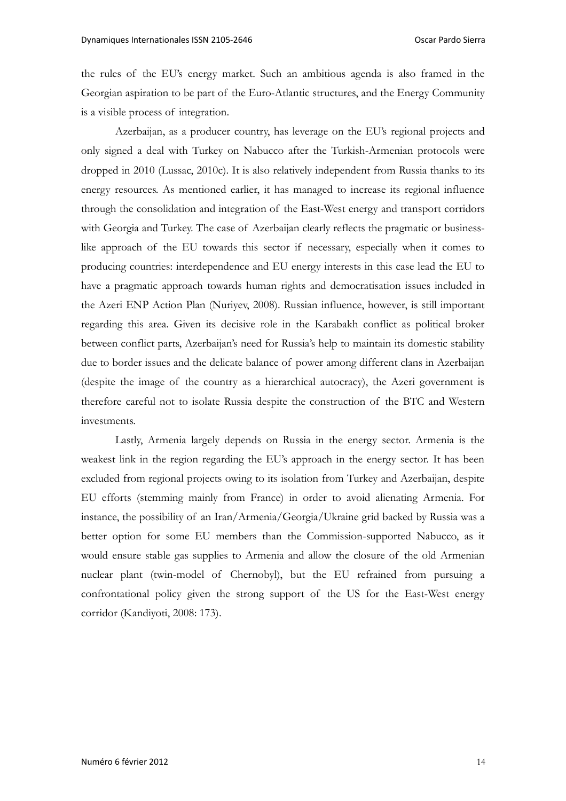the rules of the EU's energy market. Such an ambitious agenda is also framed in the Georgian aspiration to be part of the Euro-Atlantic structures, and the Energy Community is a visible process of integration.

Azerbaijan, as a producer country, has leverage on the EU's regional projects and only signed a deal with Turkey on Nabucco after the Turkish-Armenian protocols were dropped in 2010 (Lussac, 2010c). It is also relatively independent from Russia thanks to its energy resources. As mentioned earlier, it has managed to increase its regional influence through the consolidation and integration of the East-West energy and transport corridors with Georgia and Turkey. The case of Azerbaijan clearly reflects the pragmatic or businesslike approach of the EU towards this sector if necessary, especially when it comes to producing countries: interdependence and EU energy interests in this case lead the EU to have a pragmatic approach towards human rights and democratisation issues included in the Azeri ENP Action Plan (Nuriyev, 2008). Russian influence, however, is still important regarding this area. Given its decisive role in the Karabakh conflict as political broker between conflict parts, Azerbaijan's need for Russia's help to maintain its domestic stability due to border issues and the delicate balance of power among different clans in Azerbaijan (despite the image of the country as a hierarchical autocracy), the Azeri government is therefore careful not to isolate Russia despite the construction of the BTC and Western investments.

Lastly, Armenia largely depends on Russia in the energy sector. Armenia is the weakest link in the region regarding the EU's approach in the energy sector. It has been excluded from regional projects owing to its isolation from Turkey and Azerbaijan, despite EU efforts (stemming mainly from France) in order to avoid alienating Armenia. For instance, the possibility of an Iran/Armenia/Georgia/Ukraine grid backed by Russia was a better option for some EU members than the Commission-supported Nabucco, as it would ensure stable gas supplies to Armenia and allow the closure of the old Armenian nuclear plant (twin-model of Chernobyl), but the EU refrained from pursuing a confrontational policy given the strong support of the US for the East-West energy corridor (Kandiyoti, 2008: 173).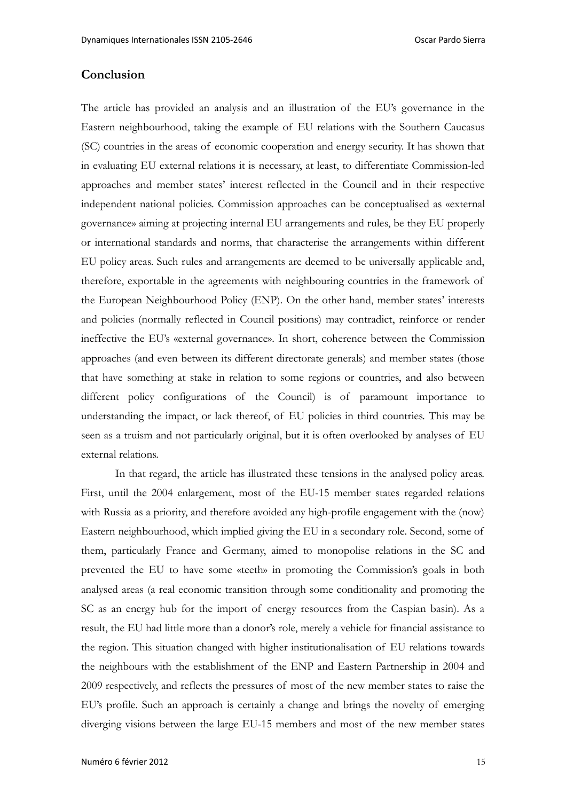### **Conclusion**

The article has provided an analysis and an illustration of the EU's governance in the Eastern neighbourhood, taking the example of EU relations with the Southern Caucasus (SC) countries in the areas of economic cooperation and energy security. It has shown that in evaluating EU external relations it is necessary, at least, to differentiate Commission-led approaches and member states' interest reflected in the Council and in their respective independent national policies. Commission approaches can be conceptualised as «external governance» aiming at projecting internal EU arrangements and rules, be they EU properly or international standards and norms, that characterise the arrangements within different EU policy areas. Such rules and arrangements are deemed to be universally applicable and, therefore, exportable in the agreements with neighbouring countries in the framework of the European Neighbourhood Policy (ENP). On the other hand, member states' interests and policies (normally reflected in Council positions) may contradict, reinforce or render ineffective the EU's «external governance». In short, coherence between the Commission approaches (and even between its different directorate generals) and member states (those that have something at stake in relation to some regions or countries, and also between different policy configurations of the Council) is of paramount importance to understanding the impact, or lack thereof, of EU policies in third countries. This may be seen as a truism and not particularly original, but it is often overlooked by analyses of EU external relations.

In that regard, the article has illustrated these tensions in the analysed policy areas. First, until the 2004 enlargement, most of the EU-15 member states regarded relations with Russia as a priority, and therefore avoided any high-profile engagement with the (now) Eastern neighbourhood, which implied giving the EU in a secondary role. Second, some of them, particularly France and Germany, aimed to monopolise relations in the SC and prevented the EU to have some «teeth» in promoting the Commission's goals in both analysed areas (a real economic transition through some conditionality and promoting the SC as an energy hub for the import of energy resources from the Caspian basin). As a result, the EU had little more than a donor's role, merely a vehicle for financial assistance to the region. This situation changed with higher institutionalisation of EU relations towards the neighbours with the establishment of the ENP and Eastern Partnership in 2004 and 2009 respectively, and reflects the pressures of most of the new member states to raise the EU's profile. Such an approach is certainly a change and brings the novelty of emerging diverging visions between the large EU-15 members and most of the new member states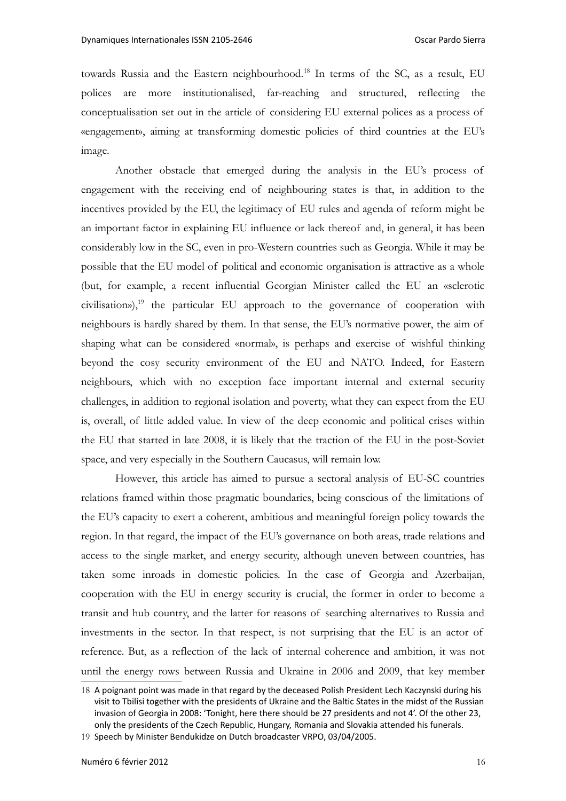towards Russia and the Eastern neighbourhood.[18](#page-15-0) In terms of the SC, as a result, EU polices are more institutionalised, far-reaching and structured, reflecting the conceptualisation set out in the article of considering EU external polices as a process of «engagement», aiming at transforming domestic policies of third countries at the EU's image.

Another obstacle that emerged during the analysis in the EU's process of engagement with the receiving end of neighbouring states is that, in addition to the incentives provided by the EU, the legitimacy of EU rules and agenda of reform might be an important factor in explaining EU influence or lack thereof and, in general, it has been considerably low in the SC, even in pro-Western countries such as Georgia. While it may be possible that the EU model of political and economic organisation is attractive as a whole (but, for example, a recent influential Georgian Minister called the EU an «sclerotic  $civilisation$ ),<sup>[19](#page-15-1)</sup> the particular EU approach to the governance of cooperation with neighbours is hardly shared by them. In that sense, the EU's normative power, the aim of shaping what can be considered «normal», is perhaps and exercise of wishful thinking beyond the cosy security environment of the EU and NATO. Indeed, for Eastern neighbours, which with no exception face important internal and external security challenges, in addition to regional isolation and poverty, what they can expect from the EU is, overall, of little added value. In view of the deep economic and political crises within the EU that started in late 2008, it is likely that the traction of the EU in the post-Soviet space, and very especially in the Southern Caucasus, will remain low.

However, this article has aimed to pursue a sectoral analysis of EU-SC countries relations framed within those pragmatic boundaries, being conscious of the limitations of the EU's capacity to exert a coherent, ambitious and meaningful foreign policy towards the region. In that regard, the impact of the EU's governance on both areas, trade relations and access to the single market, and energy security, although uneven between countries, has taken some inroads in domestic policies. In the case of Georgia and Azerbaijan, cooperation with the EU in energy security is crucial, the former in order to become a transit and hub country, and the latter for reasons of searching alternatives to Russia and investments in the sector. In that respect, is not surprising that the EU is an actor of reference. But, as a reflection of the lack of internal coherence and ambition, it was not until the energy rows between Russia and Ukraine in 2006 and 2009, that key member

<span id="page-15-0"></span><sup>18</sup> A poignant point was made in that regard by the deceased Polish President Lech Kaczynski during his visit to Tbilisi together with the presidents of Ukraine and the Baltic States in the midst of the Russian invasion of Georgia in 2008: 'Tonight, here there should be 27 presidents and not 4'. Of the other 23, only the presidents of the Czech Republic, Hungary, Romania and Slovakia attended his funerals.

<span id="page-15-1"></span><sup>19</sup> Speech by Minister Bendukidze on Dutch broadcaster VRPO, 03/04/2005.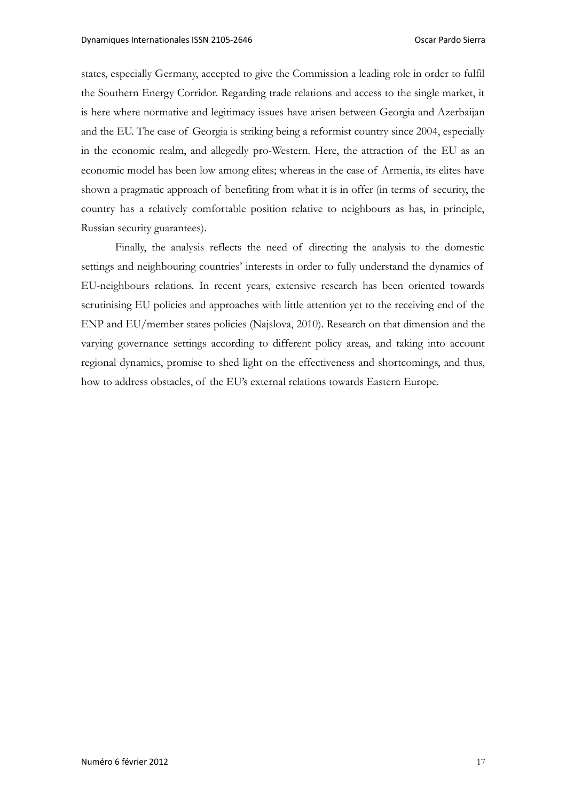states, especially Germany, accepted to give the Commission a leading role in order to fulfil the Southern Energy Corridor. Regarding trade relations and access to the single market, it is here where normative and legitimacy issues have arisen between Georgia and Azerbaijan and the EU. The case of Georgia is striking being a reformist country since 2004, especially in the economic realm, and allegedly pro-Western. Here, the attraction of the EU as an economic model has been low among elites; whereas in the case of Armenia, its elites have shown a pragmatic approach of benefiting from what it is in offer (in terms of security, the country has a relatively comfortable position relative to neighbours as has, in principle, Russian security guarantees).

Finally, the analysis reflects the need of directing the analysis to the domestic settings and neighbouring countries' interests in order to fully understand the dynamics of EU-neighbours relations. In recent years, extensive research has been oriented towards scrutinising EU policies and approaches with little attention yet to the receiving end of the ENP and EU/member states policies (Najslova, 2010). Research on that dimension and the varying governance settings according to different policy areas, and taking into account regional dynamics, promise to shed light on the effectiveness and shortcomings, and thus, how to address obstacles, of the EU's external relations towards Eastern Europe.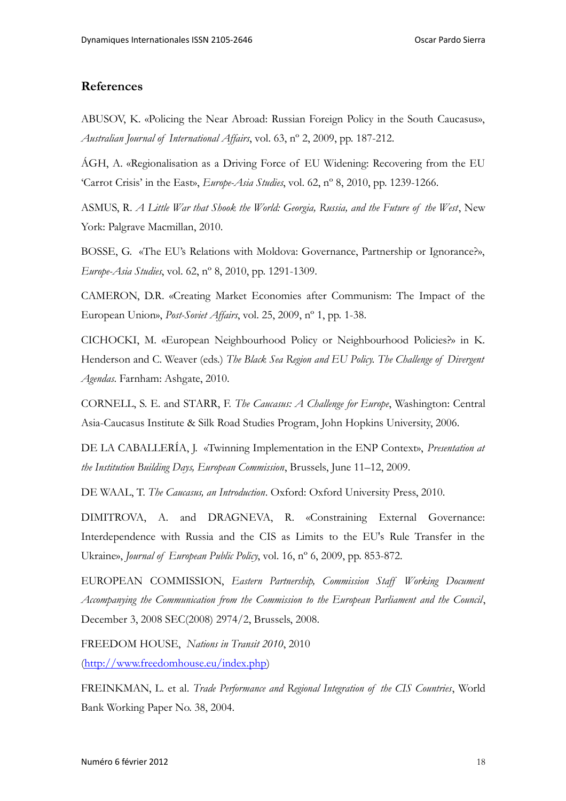### **References**

ABUSOV, K. «Policing the Near Abroad: Russian Foreign Policy in the South Caucasus», *Australian Journal of International Affairs*, vol. 63, nº 2, 2009, pp. 187-212.

ÁGH, A. «Regionalisation as a Driving Force of EU Widening: Recovering from the EU 'Carrot Crisis' in the East», *Europe-Asia Studies*, vol. 62, nº 8, 2010, pp. 1239-1266.

ASMUS, R. *A Little War that Shook the World: Georgia, Russia, and the Future of the West*, New York: Palgrave Macmillan, 2010.

BOSSE, G. «The EU's Relations with Moldova: Governance, Partnership or Ignorance?», *Europe-Asia Studies*, vol. 62, nº 8, 2010, pp. 1291-1309.

CAMERON, D.R. «Creating Market Economies after Communism: The Impact of the European Union», *Post-Soviet Affairs*, vol. 25, 2009, nº 1, pp. 1-38.

CICHOCKI, M. «European Neighbourhood Policy or Neighbourhood Policies?» in K. Henderson and C. Weaver (eds.) *The Black Sea Region and EU Policy. The Challenge of Divergent Agendas*. Farnham: Ashgate, 2010.

CORNELL, S. E. and STARR, F. *The Caucasus: A Challenge for Europe*, Washington: Central Asia-Caucasus Institute & Silk Road Studies Program, John Hopkins University, 2006.

DE LA CABALLERÍA, J. «Twinning Implementation in the ENP Context», *Presentation at the Institution Building Days, European Commission*, Brussels, June 11–12, 2009.

DE WAAL, T. *The Caucasus, an Introduction*. Oxford: Oxford University Press, 2010.

DIMITROVA, A. and DRAGNEVA, R. «Constraining External Governance: Interdependence with Russia and the CIS as Limits to the EU's Rule Transfer in the Ukraine», *Journal of European Public Policy*, vol. 16, nº 6, 2009, pp. 853-872.

EUROPEAN COMMISSION, *Eastern Partnership, Commission Staff Working Document Accompanying the Communication from the Commission to the European Parliament and the Council*, December 3, 2008 SEC(2008) 2974/2, Brussels, 2008.

FREEDOM HOUSE, *Nations in Transit 2010*, 2010 [\(http://www.freedomhouse.eu/index.php\)](http://www.freedomhouse.eu/index.php)

FREINKMAN, L. et al. *Trade Performance and Regional Integration of the CIS Countries*, World Bank Working Paper No. 38, 2004.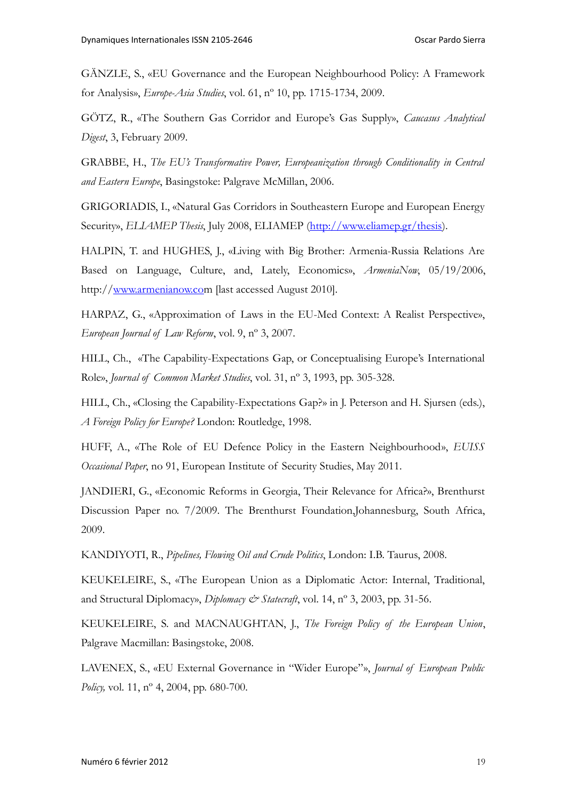GÄNZLE, S., «EU Governance and the European Neighbourhood Policy: A Framework for Analysis», *Europe-Asia Studies*, vol. 61, nº 10, pp. 1715-1734, 2009.

GÖTZ, R., «The Southern Gas Corridor and Europe's Gas Supply», *Caucasus Analytical Digest*, 3, February 2009.

GRABBE, H., *The EU's Transformative Power, Europeanization through Conditionality in Central and Eastern Europe*, Basingstoke: Palgrave McMillan, 2006.

GRIGORIADIS, I., «Natural Gas Corridors in Southeastern Europe and European Energy Security», *ELIAMEP Thesis*, July 2008, ELIAMEP [\(http://www.eliamep.gr/thesis\)](http://www.eliamep.gr/thesis).

HALPIN, T. and HUGHES, J., «Living with Big Brother: Armenia-Russia Relations Are Based on Language, Culture, and, Lately, Economics», *ArmeniaNow*, 05/19/2006, http:/[/www.armenianow.com](http://www.armenianow.com/) [last accessed August 2010].

HARPAZ, G., «Approximation of Laws in the EU-Med Context: A Realist Perspective», *European Journal of Law Reform*, vol. 9, nº 3, 2007.

HILL, Ch., «The Capability-Expectations Gap, or Conceptualising Europe's International Role», *Journal of Common Market Studies*, vol. 31, nº 3, 1993, pp. 305-328.

HILL, Ch., «Closing the Capability-Expectations Gap?» in J. Peterson and H. Sjursen (eds.), *A Foreign Policy for Europe?* London: Routledge, 1998.

HUFF, A., «The Role of EU Defence Policy in the Eastern Neighbourhood», *EUISS Occasional Paper*, no 91, European Institute of Security Studies, May 2011.

JANDIERI, G., «Economic Reforms in Georgia, Their Relevance for Africa?», Brenthurst Discussion Paper no. 7/2009. The Brenthurst Foundation,Johannesburg, South Africa, 2009.

KANDIYOTI, R., *Pipelines, Flowing Oil and Crude Politics*, London: I.B. Taurus, 2008.

KEUKELEIRE, S., «The European Union as a Diplomatic Actor: Internal, Traditional, and Structural Diplomacy», *Diplomacy & Statecraft*, vol. 14, nº 3, 2003, pp. 31-56.

KEUKELEIRE, S. and MACNAUGHTAN, J., *The Foreign Policy of the European Union*, Palgrave Macmillan: Basingstoke, 2008.

LAVENEX, S., «EU External Governance in "Wider Europe"», *Journal of European Public Policy*, vol. 11, n<sup>o</sup> 4, 2004, pp. 680-700.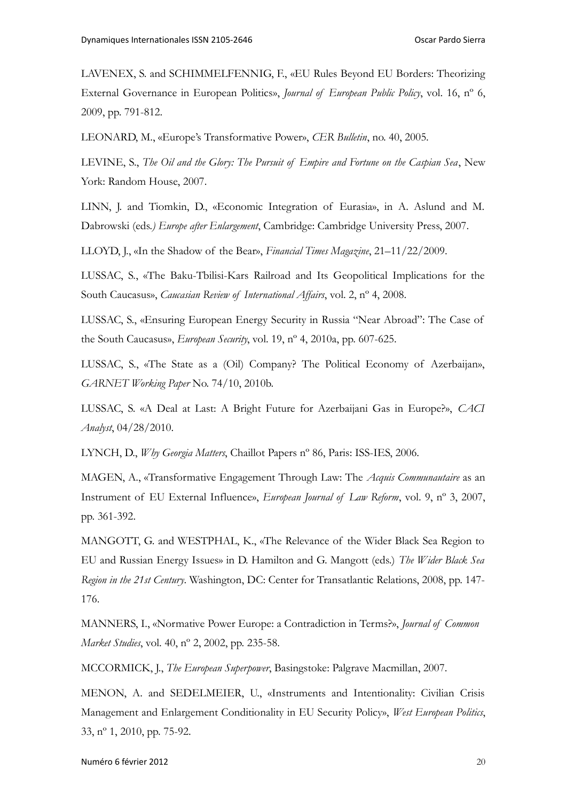LAVENEX, S. and SCHIMMELFENNIG, F., «EU Rules Beyond EU Borders: Theorizing External Governance in European Politics», *Journal of European Public Policy*, vol. 16, nº 6, 2009, pp. 791-812.

LEONARD, M., «Europe's Transformative Power», *CER Bulletin*, no. 40, 2005.

LEVINE, S., *The Oil and the Glory: The Pursuit of Empire and Fortune on the Caspian Sea*, New York: Random House, 2007.

LINN, J. and Tiomkin, D., «Economic Integration of Eurasia», in A. Aslund and M. Dabrowski (eds*.) Europe after Enlargement*, Cambridge: Cambridge University Press, 2007.

LLOYD, J., «In the Shadow of the Bear», *Financial Times Magazine*, 21–11/22/2009.

LUSSAC, S., «The Baku-Tbilisi-Kars Railroad and Its Geopolitical Implications for the South Caucasus», *Caucasian Review of International Affairs*, vol. 2, nº 4, 2008.

LUSSAC, S., «Ensuring European Energy Security in Russia "Near Abroad": The Case of the South Caucasus», *European Security*, vol. 19, nº 4, 2010a, pp. 607-625.

LUSSAC, S., «The State as a (Oil) Company? The Political Economy of Azerbaijan», *GARNET Working Paper* No. 74/10, 2010b.

LUSSAC, S. «A Deal at Last: A Bright Future for Azerbaijani Gas in Europe?», *CACI Analyst*, 04/28/2010.

LYNCH, D., *Why Georgia Matters*, Chaillot Papers nº 86, Paris: ISS-IES, 2006.

MAGEN, A., «Transformative Engagement Through Law: The *Acquis Communautaire* as an Instrument of EU External Influence», *European Journal of Law Reform*, vol. 9, nº 3, 2007, pp. 361-392.

MANGOTT, G. and WESTPHAL, K., «The Relevance of the Wider Black Sea Region to EU and Russian Energy Issues» in D. Hamilton and G. Mangott (eds.) *The Wider Black Sea Region in the 21st Century*. Washington, DC: Center for Transatlantic Relations, 2008, pp. 147- 176.

MANNERS, I., «Normative Power Europe: a Contradiction in Terms?», *Journal of Common Market Studies*, vol. 40, nº 2, 2002, pp. 235-58.

MCCORMICK, J., *The European Superpower*, Basingstoke: Palgrave Macmillan, 2007.

MENON, A. and SEDELMEIER, U., «Instruments and Intentionality: Civilian Crisis Management and Enlargement Conditionality in EU Security Policy», *West European Politics*, 33, nº 1, 2010, pp. 75-92.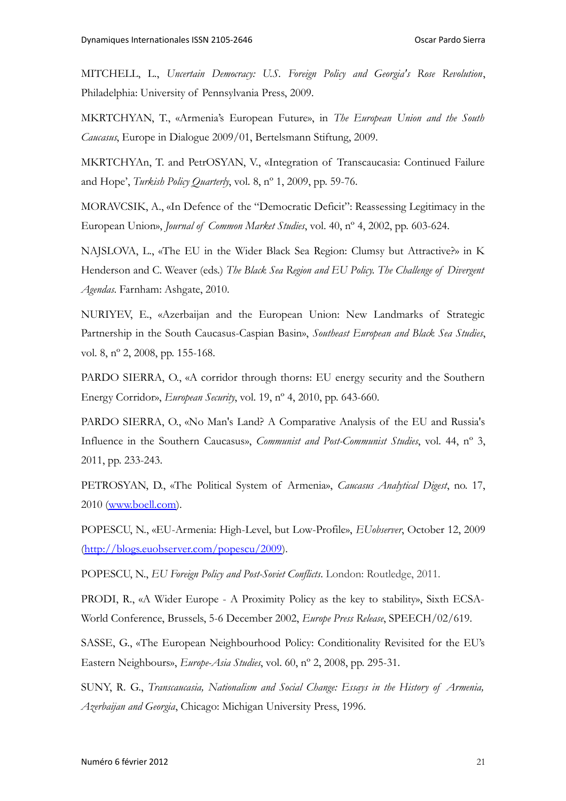MITCHELL, L., *Uncertain Democracy: U.S. Foreign Policy and Georgia's Rose Revolution*, Philadelphia: University of Pennsylvania Press, 2009.

MKRTCHYAN, T., «Armenia's European Future», in *The European Union and the South Caucasus*, Europe in Dialogue 2009/01, Bertelsmann Stiftung, 2009.

MKRTCHYAn, T. and PetrOSYAN, V., «Integration of Transcaucasia: Continued Failure and Hope', *Turkish Policy Quarterly*, vol. 8, nº 1, 2009, pp. 59-76.

MORAVCSIK, A., «In Defence of the "Democratic Deficit": Reassessing Legitimacy in the European Union», *Journal of Common Market Studies*, vol. 40, nº 4, 2002, pp. 603-624.

NAJSLOVA, L., «The EU in the Wider Black Sea Region: Clumsy but Attractive?» in K Henderson and C. Weaver (eds.) *The Black Sea Region and EU Policy. The Challenge of Divergent Agendas*. Farnham: Ashgate, 2010.

NURIYEV, E., «Azerbaijan and the European Union: New Landmarks of Strategic Partnership in the South Caucasus-Caspian Basin», *Southeast European and Black Sea Studies*, vol. 8, nº 2, 2008, pp. 155-168.

PARDO SIERRA, O., «A corridor through thorns: EU energy security and the Southern Energy Corridor», *European Security*, vol. 19, nº 4, 2010, pp. 643-660.

PARDO SIERRA, O., «No Man's Land? A Comparative Analysis of the EU and Russia's Influence in the Southern Caucasus», *Communist and Post-Communist Studies*, vol. 44, nº 3, 2011, pp. 233-243.

PETROSYAN, D., «The Political System of Armenia», *Caucasus Analytical Digest*, no. 17, 2010 [\(www.boell.com\)](http://www.boell.com/).

POPESCU, N., «EU-Armenia: High-Level, but Low-Profile», *EUobserver*, October 12, 2009 [\(http://blogs.euobserver.com/popescu/2009\)](http://blogs.euobserver.com/popescu/2009).

POPESCU, N., *EU Foreign Policy and Post-Soviet Conflicts*. London: Routledge, 2011.

PRODI, R., «A Wider Europe - A Proximity Policy as the key to stability», Sixth ECSA-World Conference, Brussels, 5-6 December 2002, *Europe Press Release*, SPEECH/02/619.

SASSE, G., «The European Neighbourhood Policy: Conditionality Revisited for the EU's Eastern Neighbours», *Europe-Asia Studies*, vol. 60, nº 2, 2008, pp. 295-31.

SUNY, R. G., *Transcaucasia, Nationalism and Social Change: Essays in the History of Armenia, Azerbaijan and Georgia*, Chicago: Michigan University Press, 1996.